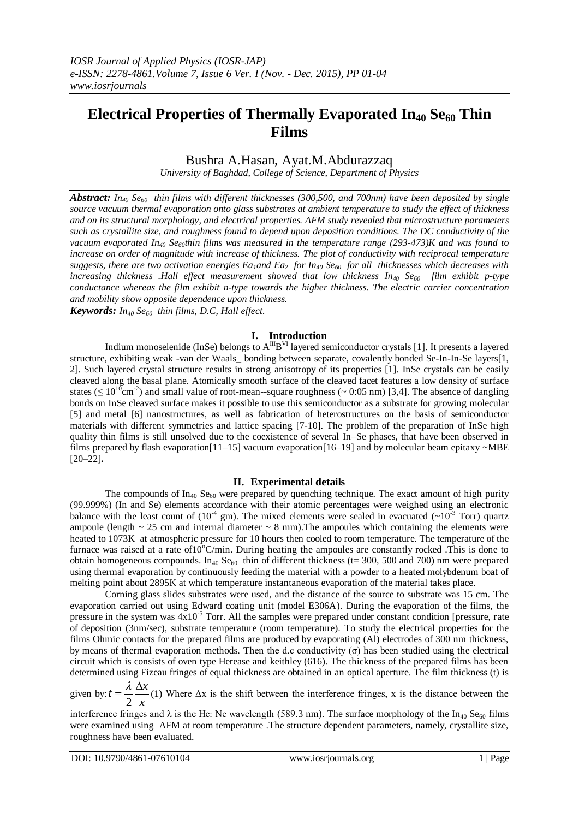# **Electrical Properties of Thermally Evaporated In<sup>40</sup> Se<sup>60</sup> Thin Films**

## Bushra A.Hasan, Ayat.M.Abdurazzaq

*University of Baghdad, College of Science, Department of Physics*

*Abstract: In<sup>40</sup> Se<sup>60</sup> thin films with different thicknesses (300,500, and 700nm) have been deposited by single source vacuum thermal evaporation onto glass substrates at ambient temperature to study the effect of thickness and on its structural morphology, and electrical properties. AFM study revealed that microstructure parameters such as crystallite size, and roughness found to depend upon deposition conditions. The DC conductivity of the vacuum evaporated In<sup>40</sup> Se60thin films was measured in the temperature range (293-473)K and was found to increase on order of magnitude with increase of thickness. The plot of conductivity with reciprocal temperature suggests, there are two activation energies Ea1and Ea2 for In<sup>40</sup> Se<sup>60</sup> for all thicknesses which decreases with increasing thickness .Hall effect measurement showed that low thickness In<sup>40</sup> Se<sup>60</sup> film exhibit p-type conductance whereas the film exhibit n-type towards the higher thickness. The electric carrier concentration and mobility show opposite dependence upon thickness. Keywords: In<sup>40</sup> Se<sup>60</sup> thin films, D.C, Hall effect.*

## **I. Introduction**

Indium monoselenide (InSe) belongs to  $A^{I\!I}B^{VI}$  layered semiconductor crystals [1]. It presents a layered structure, exhibiting weak -van der Waals\_ bonding between separate, covalently bonded Se-In-In-Se layers[1, 2]. Such layered crystal structure results in strong anisotropy of its properties [1]. InSe crystals can be easily cleaved along the basal plane. Atomically smooth surface of the cleaved facet features a low density of surface states ( $\leq 10^{10}$ cm<sup>-2</sup>) and small value of root-mean--square roughness ( $\sim 0.05$  nm) [3,4]. The absence of dangling bonds on InSe cleaved surface makes it possible to use this semiconductor as a substrate for growing molecular [5] and metal [6] nanostructures, as well as fabrication of heterostructures on the basis of semiconductor materials with different symmetries and lattice spacing [7-10]. The problem of the preparation of InSe high quality thin films is still unsolved due to the coexistence of several In–Se phases, that have been observed in films prepared by flash evaporation $[11-15]$  vacuum evaporation $[16-19]$  and by molecular beam epitaxy  $\sim$ MBE [20–22]**.** 

#### **II. Experimental details**

The compounds of In<sub>40</sub> Se<sub>60</sub> were prepared by quenching technique. The exact amount of high purity (99.999%) (In and Se) elements accordance with their atomic percentages were weighed using an electronic balance with the least count of  $(10^{-4} \text{ gm})$ . The mixed elements were sealed in evacuated  $({\sim}10^{-3} \text{ Torr})$  quartz ampoule (length  $\sim$  25 cm and internal diameter  $\sim$  8 mm). The ampoules which containing the elements were heated to 1073K at atmospheric pressure for 10 hours then cooled to room temperature. The temperature of the furnace was raised at a rate of  $10^{\circ}$ C/min. During heating the ampoules are constantly rocked. This is done to obtain homogeneous compounds. In<sub>40</sub> Se<sub>60</sub> thin of different thickness (t= 300, 500 and 700) nm were prepared using thermal evaporation by continuously feeding the material with a powder to a heated molybdenum boat of melting point about 2895K at which temperature instantaneous evaporation of the material takes place.

Corning glass slides substrates were used, and the distance of the source to substrate was 15 cm. The evaporation carried out using Edward coating unit (model E306A). During the evaporation of the films, the pressure in the system was  $4x10^{-5}$  Torr. All the samples were prepared under constant condition [pressure, rate of deposition (3nm/sec), substrate temperature (room temperature). To study the electrical properties for the films Ohmic contacts for the prepared films are produced by evaporating (Al) electrodes of 300 nm thickness, by means of thermal evaporation methods. Then the d.c conductivity  $(\sigma)$  has been studied using the electrical circuit which is consists of oven type Herease and keithley (616). The thickness of the prepared films has been determined using Fizeau fringes of equal thickness are obtained in an optical aperture. The film thickness (t) is

given by:  $t = \frac{4}{2}$  $t = \frac{\lambda}{a} \frac{\Delta x}{a}$ 2 λ (1) Where  $\Delta x$  is the shift between the interference fringes, x is the distance between the

interference fringes and  $\lambda$  is the He: Ne wavelength (589.3 nm). The surface morphology of the In<sub>40</sub> Se<sub>60</sub> films were examined using AFM at room temperature .The structure dependent parameters, namely, crystallite size, roughness have been evaluated.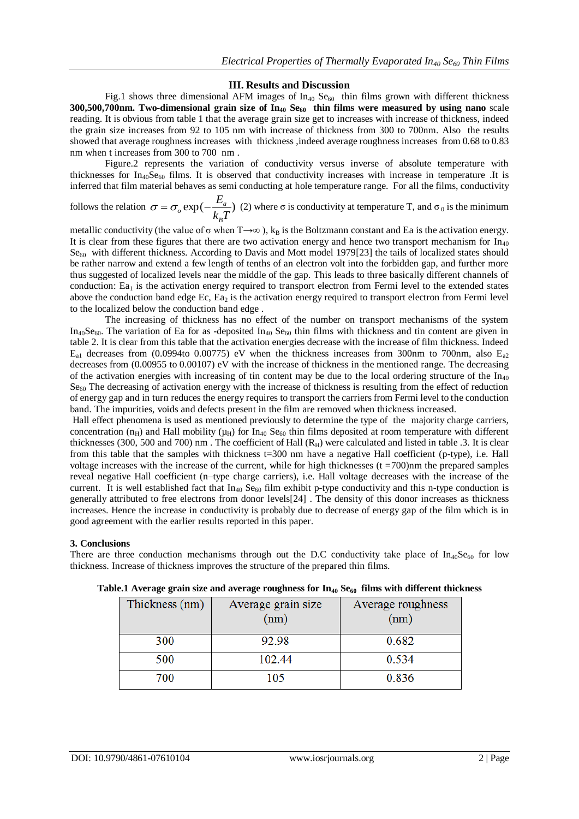### **III. Results and Discussion**

Fig.1 shows three dimensional AFM images of  $In_{40}$  Se<sub>60</sub> thin films grown with different thickness **300,500,700nm. Two-dimensional grain size of In<sup>40</sup> Se<sup>60</sup> thin films were measured by using nano** scale reading. It is obvious from table 1 that the average grain size get to increases with increase of thickness, indeed the grain size increases from 92 to 105 nm with increase of thickness from 300 to 700nm. Also the results showed that average roughness increases with thickness ,indeed average roughness increases from 0.68 to 0.83 nm when t increases from 300 to 700 nm .

Figure.2 represents the variation of conductivity versus inverse of absolute temperature with thicknesses for  $In_{40}Se_{60}$  films. It is observed that conductivity increases with increase in temperature .It is inferred that film material behaves as semi conducting at hole temperature range. For all the films, conductivity

follows the relation  $\sigma = \sigma_{o} \exp(-\frac{L_a}{L_a})$  $k_R T$ *E B*  $\sigma = \sigma_o \exp(-\frac{L_a}{l_a T})$  (2) where  $\sigma$  is conductivity at temperature T, and  $\sigma_o$  is the minimum

metallic conductivity (the value of  $\sigma$  when T→∞), k<sub>B</sub> is the Boltzmann constant and Ea is the activation energy. It is clear from these figures that there are two activation energy and hence two transport mechanism for  $In_{40}$  $Se<sub>60</sub>$  with different thickness. According to Davis and Mott model 1979[23] the tails of localized states should be rather narrow and extend a few length of tenths of an electron volt into the forbidden gap, and further more thus suggested of localized levels near the middle of the gap. This leads to three basically different channels of conduction:  $E_{a_1}$  is the activation energy required to transport electron from Fermi level to the extended states above the conduction band edge Ec,  $E_{a_2}$  is the activation energy required to transport electron from Fermi level to the localized below the conduction band edge .

The increasing of thickness has no effect of the number on transport mechanisms of the system  $In_{40}Se_{60}$ . The variation of Ea for as -deposited  $In_{40} Se_{60}$  thin films with thickness and tin content are given in table 2. It is clear from this table that the activation energies decrease with the increase of film thickness. Indeed  $E_{a1}$  decreases from (0.0994to 0.00775) eV when the thickness increases from 300nm to 700nm, also  $E_{a2}$ decreases from (0.00955 to 0.00107) eV with the increase of thickness in the mentioned range. The decreasing of the activation energies with increasing of tin content may be due to the local ordering structure of the  $In_{40}$  $Se<sub>60</sub>$  The decreasing of activation energy with the increase of thickness is resulting from the effect of reduction of energy gap and in turn reduces the energy requires to transport the carriers from Fermi level to the conduction band. The impurities, voids and defects present in the film are removed when thickness increased.

Hall effect phenomena is used as mentioned previously to determine the type of the majority charge carriers, concentration ( $n_H$ ) and Hall mobility ( $\mu_H$ ) for  $In_{40}$  Se<sub>60</sub> thin films deposited at room temperature with different thicknesses (300, 500 and 700) nm. The coefficient of Hall  $(R_H)$  were calculated and listed in table .3. It is clear from this table that the samples with thickness t=300 nm have a negative Hall coefficient (p-type), i.e. Hall voltage increases with the increase of the current, while for high thicknesses  $(t = 700)$ nm the prepared samples reveal negative Hall coefficient (n–type charge carriers), i.e. Hall voltage decreases with the increase of the current. It is well established fact that  $In_{40}$  Se<sub>60</sub> film exhibit p-type conductivity and this n-type conduction is generally attributed to free electrons from donor levels[24] . The density of this donor increases as thickness increases. Hence the increase in conductivity is probably due to decrease of energy gap of the film which is in good agreement with the earlier results reported in this paper.

#### **3. Conclusions**

There are three conduction mechanisms through out the D.C conductivity take place of  $In_{40}Se_{60}$  for low thickness. Increase of thickness improves the structure of the prepared thin films.

| Thickness (nm) | Average grain size<br>(nm) | Average roughness<br>(nm) |
|----------------|----------------------------|---------------------------|
| 300            | 92.98                      | 0.682                     |
| 500            | 102.44                     | 0.534                     |
| 700            | 105                        | 0.836                     |

**Table.1 Average grain size and average roughness for In<sup>40</sup> Se<sup>60</sup> films with different thickness**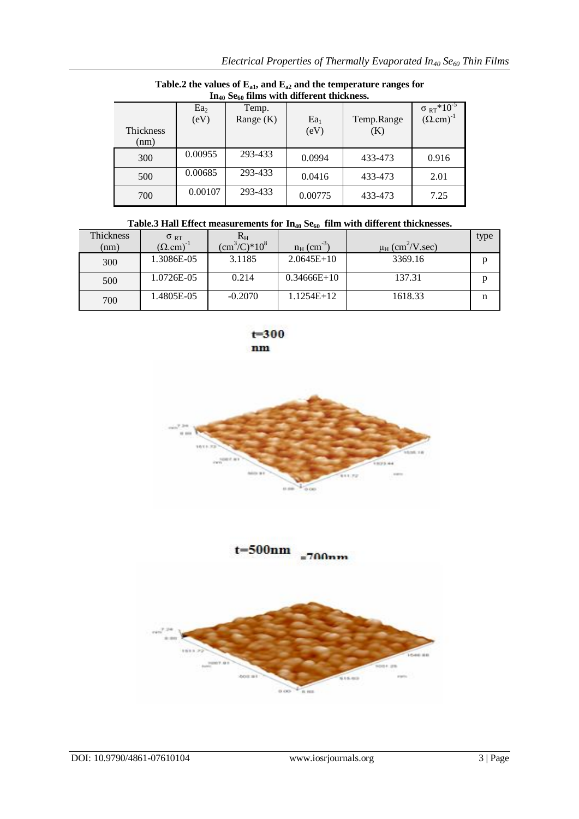| 11140 Sego 1111115 WILH GILLETENT UNCKNESS. |                         |                      |                |                   |                                                  |
|---------------------------------------------|-------------------------|----------------------|----------------|-------------------|--------------------------------------------------|
| <b>Thickness</b><br>(nm)                    | Ea <sub>2</sub><br>(eV) | Temp.<br>Range $(K)$ | $Ea_1$<br>(eV) | Temp.Range<br>(K) | $\frac{\sigma_{RT} * 10^{-5}}{(\Omega.cm)^{-1}}$ |
| 300                                         | 0.00955                 | 293-433              | 0.0994         | 433-473           | 0.916                                            |
| 500                                         | 0.00685                 | 293-433              | 0.0416         | 433-473           | 2.01                                             |
| 700                                         | 0.00107                 | 293-433              | 0.00775        | 433-473           | 7.25                                             |

**Table.2 the values of Ea1, and Ea2 and the temperature ranges for In<sup>40</sup> Se<sup>60</sup> films with different thickness.**

| Table.3 Hall Effect measurements for $In_{40}$ Se <sub>60</sub> film with different thicknesses. |  |  |  |
|--------------------------------------------------------------------------------------------------|--|--|--|
|                                                                                                  |  |  |  |

| <b>Thickness</b> | $\sigma_{RT}$              | $\rm R_H$        |                           |                                  | type |
|------------------|----------------------------|------------------|---------------------------|----------------------------------|------|
| (nm)             | $(\Omega, \text{cm})^{-1}$ | $(cm^3/C)^*10^8$ | $n_H$ (cm <sup>-3</sup> ) | $\mu_H$ (cm <sup>2</sup> /V.sec) |      |
| 300              | 1.3086E-05                 | 3.1185           | $2.0645E+10$              | 3369.16                          | D    |
| 500              | 1.0726E-05                 | 0.214            | $0.34666E+10$             | 137.31                           | n    |
| 700              | 1.4805E-05                 | $-0.2070$        | 1.1254E+12                | 1618.33                          | n    |